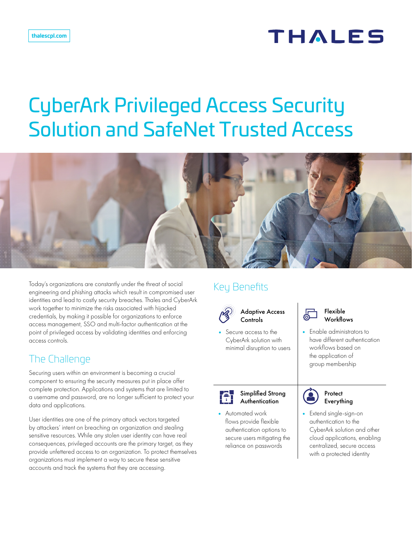# **THALES**

## **CyberArk Privileged Access Security** Solution and SafeNet Trusted Access Access policy enforcement



Today's organizations are constantly under the threat of social engineering and phishing attacks which result in compromised user identities and lead to costly security breaches. Thales and CyberArk work together to minimize the risks associated with hijacked credentials, by making it possible for organizations to enforce access management, SSO and multi-factor authentication at the point of privileged access by validating identities and enforcing access controls.

### The Challenge

Securing users within an environment is becoming a crucial component to ensuring the security measures put in place offer complete protection. Applications and systems that are limited to a username and password, are no longer sufficient to protect your data and applications.

User identities are one of the primary attack vectors targeted by attackers' intent on breaching an organization and stealing sensitive resources. While any stolen user identity can have real consequences, privileged accounts are the primary target, as they provide unfettered access to an organization. To protect themselves organizations must implement a way to secure these sensitive accounts and track the systems that they are accessing.

#### Key Benefits what when the control  $\sum_{i=1}^{n}$



**Controls** 

CyberArk solution with the character of the conservation of the conservation of the conservation of the conser<br>Minimal disruption to users the conservation of the conservation of the conservation of the conservation of th **•** Secure access to the CyberArk solution with thave



- Sumplimed Shong<br>Authentication **Contract Context** Everythin
- flows provide flexible in an auther **•** Automated work authentication options to secure users mitigating the reliance on passwords



er Group membership **•** Enable administrators to have different authentication workflows based on the application of



Scenario-based access

Access policy enforcement centralized, secure access authentication to the **•** Extend single-sign-on CyberArk solution and other cloud applications, enabling with a protected identity